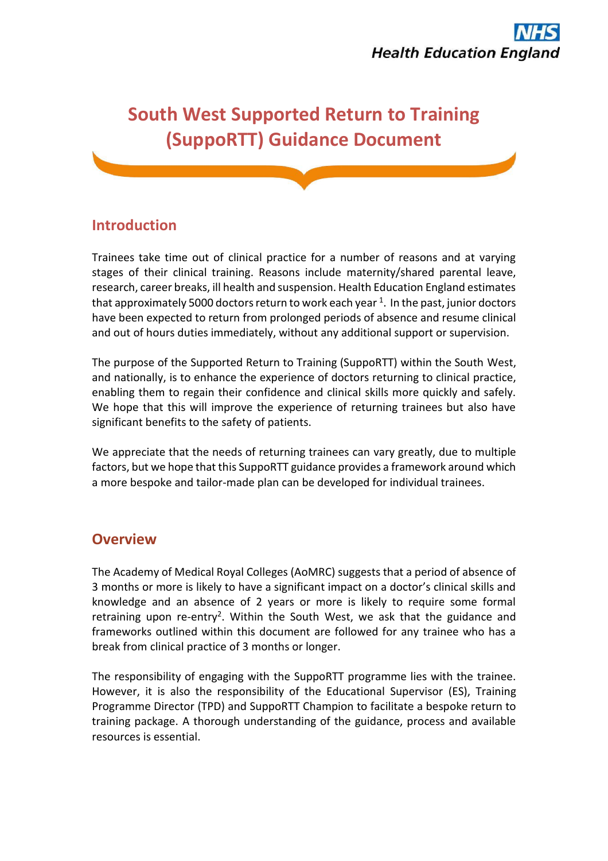# **South West Supported Return to Training (SuppoRTT) Guidance Document**

# **Introduction**

Trainees take time out of clinical practice for a number of reasons and at varying stages of their clinical training. Reasons include maternity/shared parental leave, research, career breaks, ill health and suspension. Health Education England estimates that approximately 5000 doctors return to work each year  $^{\rm 1}.$  In the past, junior doctors have been expected to return from prolonged periods of absence and resume clinical and out of hours duties immediately, without any additional support or supervision.

The purpose of the Supported Return to Training (SuppoRTT) within the South West, and nationally, is to enhance the experience of doctors returning to clinical practice, enabling them to regain their confidence and clinical skills more quickly and safely. We hope that this will improve the experience of returning trainees but also have significant benefits to the safety of patients.

We appreciate that the needs of returning trainees can vary greatly, due to multiple factors, but we hope that this SuppoRTT guidance provides a framework around which a more bespoke and tailor-made plan can be developed for individual trainees.

### **Overview**

The Academy of Medical Royal Colleges (AoMRC) suggests that a period of absence of 3 months or more is likely to have a significant impact on a doctor's clinical skills and knowledge and an absence of 2 years or more is likely to require some formal retraining upon re-entry<sup>2</sup>. Within the South West, we ask that the guidance and frameworks outlined within this document are followed for any trainee who has a break from clinical practice of 3 months or longer.

The responsibility of engaging with the SuppoRTT programme lies with the trainee. However, it is also the responsibility of the Educational Supervisor (ES), Training Programme Director (TPD) and SuppoRTT Champion to facilitate a bespoke return to training package. A thorough understanding of the guidance, process and available resources is essential.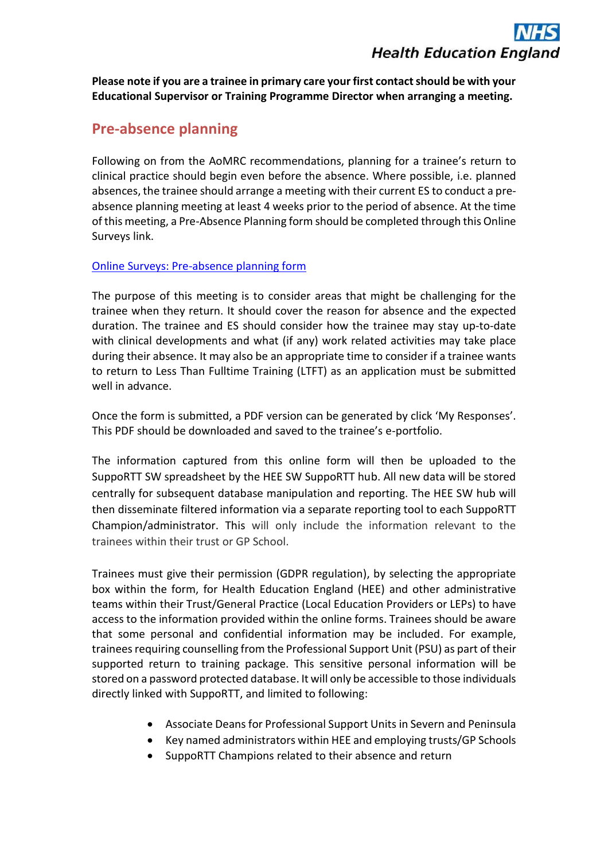**Please note if you are a trainee in primary care your first contact should be with your Educational Supervisor or Training Programme Director when arranging a meeting.**

# **Pre-absence planning**

Following on from the AoMRC recommendations, planning for a trainee's return to clinical practice should begin even before the absence. Where possible, i.e. planned absences, the trainee should arrange a meeting with their current ES to conduct a preabsence planning meeting at least 4 weeks prior to the period of absence. At the time of this meeting, a Pre-Absence Planning form should be completed through this Online Surveys link.

#### [Online Surveys: Pre-absence planning form](https://healtheducationyh.onlinesurveys.ac.uk/sw-pre-absence-planning-form-161120)

The purpose of this meeting is to consider areas that might be challenging for the trainee when they return. It should cover the reason for absence and the expected duration. The trainee and ES should consider how the trainee may stay up-to-date with clinical developments and what (if any) work related activities may take place during their absence. It may also be an appropriate time to consider if a trainee wants to return to Less Than Fulltime Training (LTFT) as an application must be submitted well in advance.

Once the form is submitted, a PDF version can be generated by click 'My Responses'. This PDF should be downloaded and saved to the trainee's e-portfolio.

The information captured from this online form will then be uploaded to the SuppoRTT SW spreadsheet by the HEE SW SuppoRTT hub. All new data will be stored centrally for subsequent database manipulation and reporting. The HEE SW hub will then disseminate filtered information via a separate reporting tool to each SuppoRTT Champion/administrator. This will only include the information relevant to the trainees within their trust or GP School.

Trainees must give their permission (GDPR regulation), by selecting the appropriate box within the form, for Health Education England (HEE) and other administrative teams within their Trust/General Practice (Local Education Providers or LEPs) to have access to the information provided within the online forms. Trainees should be aware that some personal and confidential information may be included. For example, trainees requiring counselling from the Professional Support Unit (PSU) as part of their supported return to training package. This sensitive personal information will be stored on a password protected database. It will only be accessible to those individuals directly linked with SuppoRTT, and limited to following:

- Associate Deans for Professional Support Units in Severn and Peninsula
- Key named administrators within HEE and employing trusts/GP Schools
- SuppoRTT Champions related to their absence and return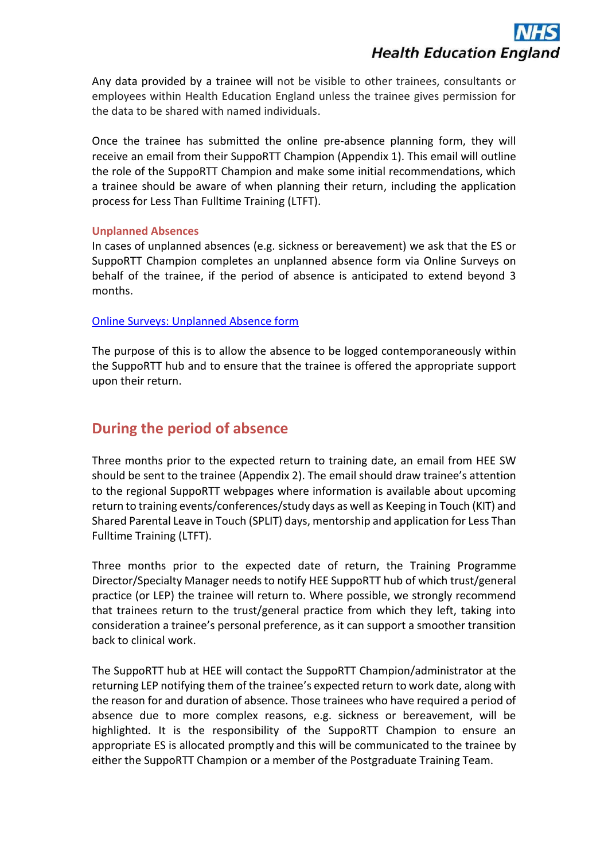Any data provided by a trainee will not be visible to other trainees, consultants or employees within Health Education England unless the trainee gives permission for the data to be shared with named individuals.

Once the trainee has submitted the online pre-absence planning form, they will receive an email from their SuppoRTT Champion (Appendix 1). This email will outline the role of the SuppoRTT Champion and make some initial recommendations, which a trainee should be aware of when planning their return, including the application process for Less Than Fulltime Training (LTFT).

#### **Unplanned Absences**

In cases of unplanned absences (e.g. sickness or bereavement) we ask that the ES or SuppoRTT Champion completes an unplanned absence form via Online Surveys on behalf of the trainee, if the period of absence is anticipated to extend beyond 3 months.

#### [Online Surveys: Unplanned Absence form](https://healtheducationyh.onlinesurveys.ac.uk/sw-unplanned-absence-form-161120)

The purpose of this is to allow the absence to be logged contemporaneously within the SuppoRTT hub and to ensure that the trainee is offered the appropriate support upon their return.

### **During the period of absence**

Three months prior to the expected return to training date, an email from HEE SW should be sent to the trainee (Appendix 2). The email should draw trainee's attention to the regional SuppoRTT webpages where information is available about upcoming return to training events/conferences/study days as well as Keeping in Touch (KIT) and Shared Parental Leave in Touch (SPLIT) days, mentorship and application for Less Than Fulltime Training (LTFT).

Three months prior to the expected date of return, the Training Programme Director/Specialty Manager needs to notify HEE SuppoRTT hub of which trust/general practice (or LEP) the trainee will return to. Where possible, we strongly recommend that trainees return to the trust/general practice from which they left, taking into consideration a trainee's personal preference, as it can support a smoother transition back to clinical work.

The SuppoRTT hub at HEE will contact the SuppoRTT Champion/administrator at the returning LEP notifying them of the trainee's expected return to work date, along with the reason for and duration of absence. Those trainees who have required a period of absence due to more complex reasons, e.g. sickness or bereavement, will be highlighted. It is the responsibility of the SuppoRTT Champion to ensure an appropriate ES is allocated promptly and this will be communicated to the trainee by either the SuppoRTT Champion or a member of the Postgraduate Training Team.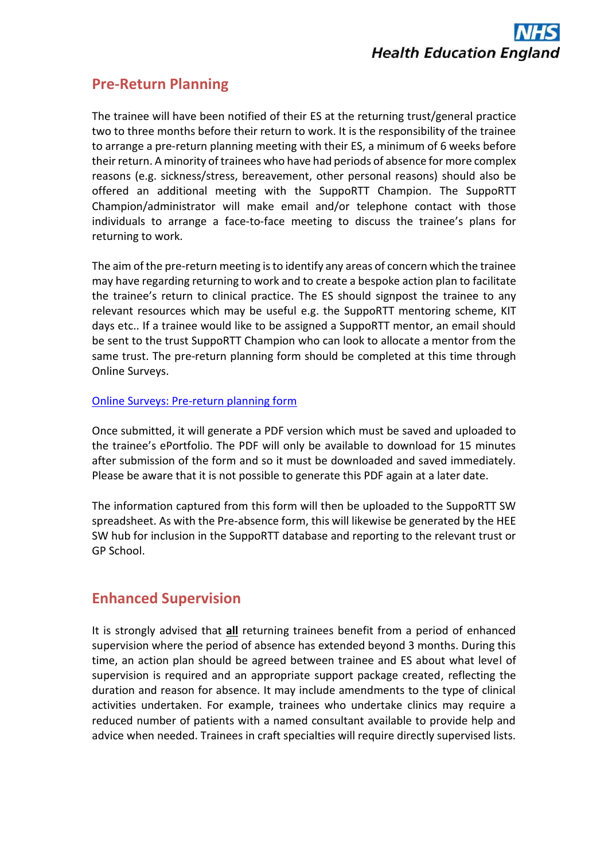### **Pre-Return Planning**

The trainee will have been notified of their ES at the returning trust/general practice two to three months before their return to work. It is the responsibility of the trainee to arrange a pre-return planning meeting with their ES, a minimum of 6 weeks before their return. A minority of trainees who have had periods of absence for more complex reasons (e.g. sickness/stress, bereavement, other personal reasons) should also be offered an additional meeting with the SuppoRTT Champion. The SuppoRTT Champion/administrator will make email and/or telephone contact with those individuals to arrange a face-to-face meeting to discuss the trainee's plans for returning to work.

The aim of the pre-return meeting is to identify any areas of concern which the trainee may have regarding returning to work and to create a bespoke action plan to facilitate the trainee's return to clinical practice. The ES should signpost the trainee to any relevant resources which may be useful e.g. the SuppoRTT mentoring scheme, KIT days etc.. If a trainee would like to be assigned a SuppoRTT mentor, an email should be sent to the trust SuppoRTT Champion who can look to allocate a mentor from the same trust. The pre-return planning form should be completed at this time through Online Surveys.

#### [Online Surveys: Pre-return planning form](https://healtheducationyh.onlinesurveys.ac.uk/sw-pre-return-planning-form-161120)

Once submitted, it will generate a PDF version which must be saved and uploaded to the trainee's ePortfolio. The PDF will only be available to download for 15 minutes after submission of the form and so it must be downloaded and saved immediately. Please be aware that it is not possible to generate this PDF again at a later date.

The information captured from this form will then be uploaded to the SuppoRTT SW spreadsheet. As with the Pre-absence form, this will likewise be generated by the HEE SW hub for inclusion in the SuppoRTT database and reporting to the relevant trust or GP School.

### **Enhanced Supervision**

It is strongly advised that **all** returning trainees benefit from a period of enhanced supervision where the period of absence has extended beyond 3 months. During this time, an action plan should be agreed between trainee and ES about what level of supervision is required and an appropriate support package created, reflecting the duration and reason for absence. It may include amendments to the type of clinical activities undertaken. For example, trainees who undertake clinics may require a reduced number of patients with a named consultant available to provide help and advice when needed. Trainees in craft specialties will require directly supervised lists.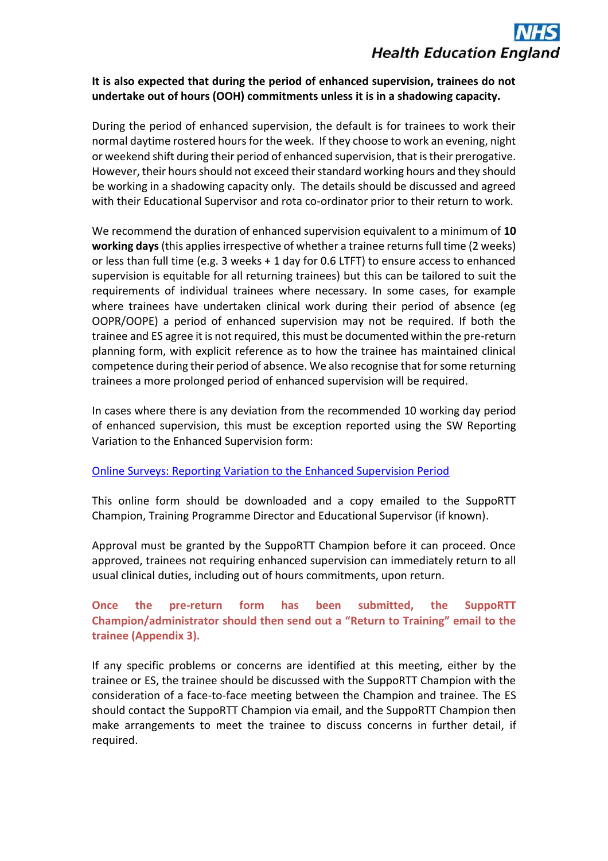#### **It is also expected that during the period of enhanced supervision, trainees do not undertake out of hours (OOH) commitments unless it is in a shadowing capacity.**

During the period of enhanced supervision, the default is for trainees to work their normal daytime rostered hours for the week. If they choose to work an evening, night or weekend shift during their period of enhanced supervision, that is their prerogative. However, their hours should not exceed their standard working hours and they should be working in a shadowing capacity only. The details should be discussed and agreed with their Educational Supervisor and rota co-ordinator prior to their return to work.

We recommend the duration of enhanced supervision equivalent to a minimum of **10 working days**(this applies irrespective of whether a trainee returns full time (2 weeks) or less than full time (e.g. 3 weeks + 1 day for 0.6 LTFT) to ensure access to enhanced supervision is equitable for all returning trainees) but this can be tailored to suit the requirements of individual trainees where necessary. In some cases, for example where trainees have undertaken clinical work during their period of absence (eg OOPR/OOPE) a period of enhanced supervision may not be required. If both the trainee and ES agree it is not required, this must be documented within the pre-return planning form, with explicit reference as to how the trainee has maintained clinical competence during their period of absence. We also recognise that for some returning trainees a more prolonged period of enhanced supervision will be required.

In cases where there is any deviation from the recommended 10 working day period of enhanced supervision, this must be exception reported using the SW Reporting Variation to the Enhanced Supervision form:

#### [Online Surveys: Reporting Variation to the Enhanced Supervision Period](https://healtheducationyh.onlinesurveys.ac.uk/sw-reporting-variation-to-the-enhanced-supervision-period)

This online form should be downloaded and a copy emailed to the SuppoRTT Champion, Training Programme Director and Educational Supervisor (if known).

Approval must be granted by the SuppoRTT Champion before it can proceed. Once approved, trainees not requiring enhanced supervision can immediately return to all usual clinical duties, including out of hours commitments, upon return.

#### **Once the pre-return form has been submitted, the SuppoRTT Champion/administrator should then send out a "Return to Training" email to the trainee (Appendix 3).**

If any specific problems or concerns are identified at this meeting, either by the trainee or ES, the trainee should be discussed with the SuppoRTT Champion with the consideration of a face-to-face meeting between the Champion and trainee. The ES should contact the SuppoRTT Champion via email, and the SuppoRTT Champion then make arrangements to meet the trainee to discuss concerns in further detail, if required.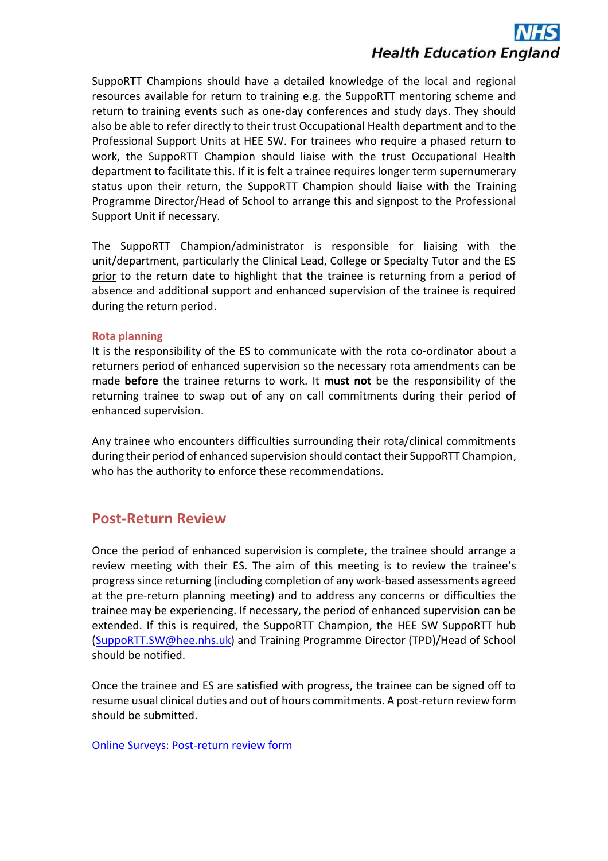SuppoRTT Champions should have a detailed knowledge of the local and regional resources available for return to training e.g. the SuppoRTT mentoring scheme and return to training events such as one-day conferences and study days. They should also be able to refer directly to their trust Occupational Health department and to the Professional Support Units at HEE SW. For trainees who require a phased return to work, the SuppoRTT Champion should liaise with the trust Occupational Health department to facilitate this. If it is felt a trainee requires longer term supernumerary status upon their return, the SuppoRTT Champion should liaise with the Training Programme Director/Head of School to arrange this and signpost to the Professional Support Unit if necessary.

The SuppoRTT Champion/administrator is responsible for liaising with the unit/department, particularly the Clinical Lead, College or Specialty Tutor and the ES prior to the return date to highlight that the trainee is returning from a period of absence and additional support and enhanced supervision of the trainee is required during the return period.

#### **Rota planning**

It is the responsibility of the ES to communicate with the rota co-ordinator about a returners period of enhanced supervision so the necessary rota amendments can be made **before** the trainee returns to work. It **must not** be the responsibility of the returning trainee to swap out of any on call commitments during their period of enhanced supervision.

Any trainee who encounters difficulties surrounding their rota/clinical commitments during their period of enhanced supervision should contact their SuppoRTT Champion, who has the authority to enforce these recommendations.

### **Post-Return Review**

Once the period of enhanced supervision is complete, the trainee should arrange a review meeting with their ES. The aim of this meeting is to review the trainee's progress since returning (including completion of any work-based assessments agreed at the pre-return planning meeting) and to address any concerns or difficulties the trainee may be experiencing. If necessary, the period of enhanced supervision can be extended. If this is required, the SuppoRTT Champion, the HEE SW SuppoRTT hub [\(SuppoRTT.SW@hee.nhs.uk\)](mailto:SuppoRTT.SW@hee.nhs.uk) and Training Programme Director (TPD)/Head of School should be notified.

Once the trainee and ES are satisfied with progress, the trainee can be signed off to resume usual clinical duties and out of hours commitments. A post-return review form should be submitted.

[Online Surveys: Post-return review form](https://healtheducationyh.onlinesurveys.ac.uk/sw-post-return-review-form-161120)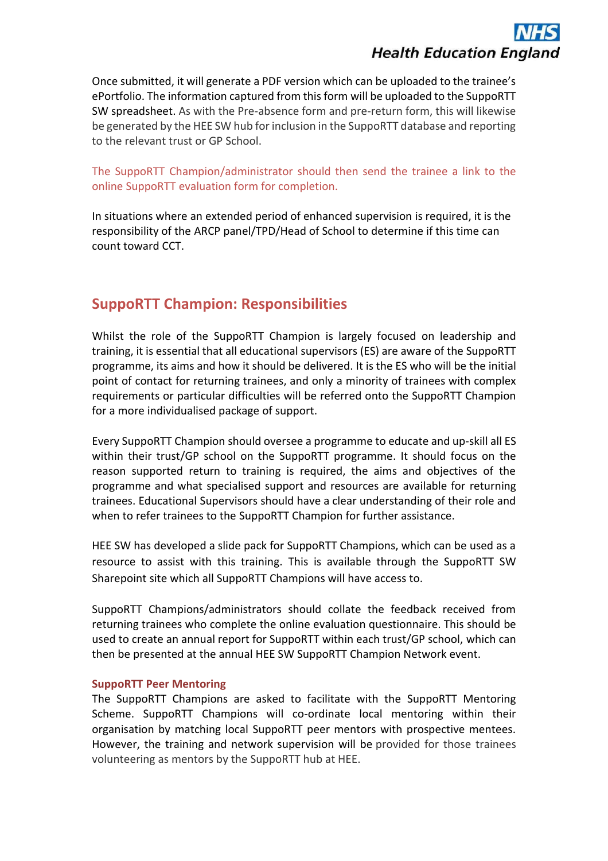Once submitted, it will generate a PDF version which can be uploaded to the trainee's ePortfolio. The information captured from this form will be uploaded to the SuppoRTT SW spreadsheet. As with the Pre-absence form and pre-return form, this will likewise be generated by the HEE SW hub for inclusion in the SuppoRTT database and reporting to the relevant trust or GP School.

The SuppoRTT Champion/administrator should then send the trainee a link to the online SuppoRTT evaluation form for completion.

In situations where an extended period of enhanced supervision is required, it is the responsibility of the ARCP panel/TPD/Head of School to determine if this time can count toward CCT.

# **SuppoRTT Champion: Responsibilities**

Whilst the role of the SuppoRTT Champion is largely focused on leadership and training, it is essential that all educational supervisors (ES) are aware of the SuppoRTT programme, its aims and how it should be delivered. It is the ES who will be the initial point of contact for returning trainees, and only a minority of trainees with complex requirements or particular difficulties will be referred onto the SuppoRTT Champion for a more individualised package of support.

Every SuppoRTT Champion should oversee a programme to educate and up-skill all ES within their trust/GP school on the SuppoRTT programme. It should focus on the reason supported return to training is required, the aims and objectives of the programme and what specialised support and resources are available for returning trainees. Educational Supervisors should have a clear understanding of their role and when to refer trainees to the SuppoRTT Champion for further assistance.

HEE SW has developed a slide pack for SuppoRTT Champions, which can be used as a resource to assist with this training. This is available through the SuppoRTT SW Sharepoint site which all SuppoRTT Champions will have access to.

SuppoRTT Champions/administrators should collate the feedback received from returning trainees who complete the online evaluation questionnaire. This should be used to create an annual report for SuppoRTT within each trust/GP school, which can then be presented at the annual HEE SW SuppoRTT Champion Network event.

#### **SuppoRTT Peer Mentoring**

The SuppoRTT Champions are asked to facilitate with the SuppoRTT Mentoring Scheme. SuppoRTT Champions will co-ordinate local mentoring within their organisation by matching local SuppoRTT peer mentors with prospective mentees. However, the training and network supervision will be provided for those trainees volunteering as mentors by the SuppoRTT hub at HEE.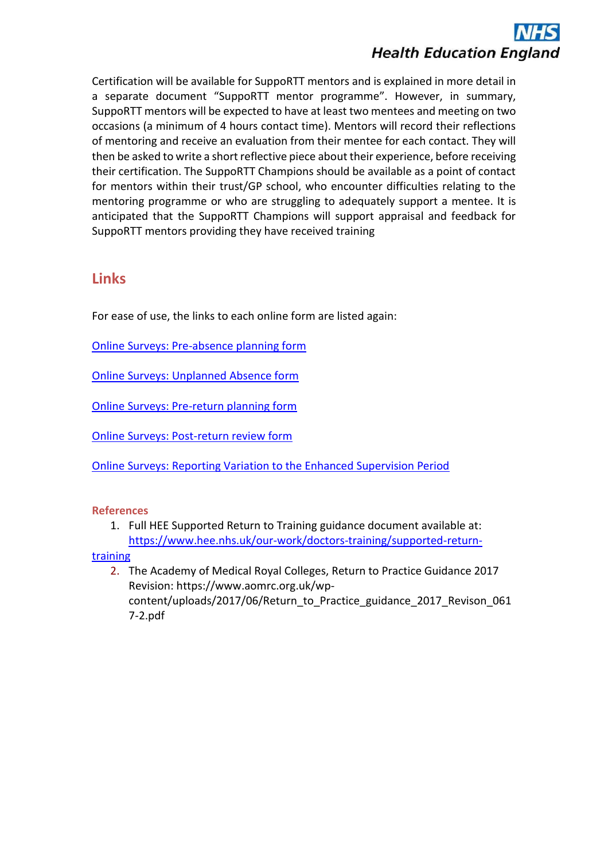Certification will be available for SuppoRTT mentors and is explained in more detail in a separate document "SuppoRTT mentor programme". However, in summary, SuppoRTT mentors will be expected to have at least two mentees and meeting on two occasions (a minimum of 4 hours contact time). Mentors will record their reflections of mentoring and receive an evaluation from their mentee for each contact. They will then be asked to write a short reflective piece about their experience, before receiving their certification. The SuppoRTT Champions should be available as a point of contact for mentors within their trust/GP school, who encounter difficulties relating to the mentoring programme or who are struggling to adequately support a mentee. It is anticipated that the SuppoRTT Champions will support appraisal and feedback for SuppoRTT mentors providing they have received training

# **Links**

For ease of use, the links to each online form are listed again:

[Online Surveys: Pre-absence planning form](https://healtheducationyh.onlinesurveys.ac.uk/sw-pre-absence-planning-form-161120)

[Online Surveys: Unplanned Absence form](https://healtheducationyh.onlinesurveys.ac.uk/sw-unplanned-absence-form-161120)

[Online Surveys: Pre-return planning form](https://healtheducationyh.onlinesurveys.ac.uk/sw-pre-return-planning-form-161120)

[Online Surveys: Post-return review form](https://healtheducationyh.onlinesurveys.ac.uk/sw-post-return-review-form-161120)

[Online Surveys: Reporting Variation to the Enhanced Supervision Period](https://healtheducationyh.onlinesurveys.ac.uk/sw-reporting-variation-to-the-enhanced-supervision-period)

#### **References**

1. Full HEE Supported Return to Training guidance document available at: [https://www.hee.nhs.uk/our-work/doctors-training/supported-return-](https://www.hee.nhs.uk/our-work/doctors-training/supported-return-training)

**[training](https://www.hee.nhs.uk/our-work/doctors-training/supported-return-training)** 

2. The Academy of Medical Royal Colleges, Return to Practice Guidance 2017 Revision: https://www.aomrc.org.uk/wpcontent/uploads/2017/06/Return\_to\_Practice\_guidance\_2017\_Revison\_061 7-2.pdf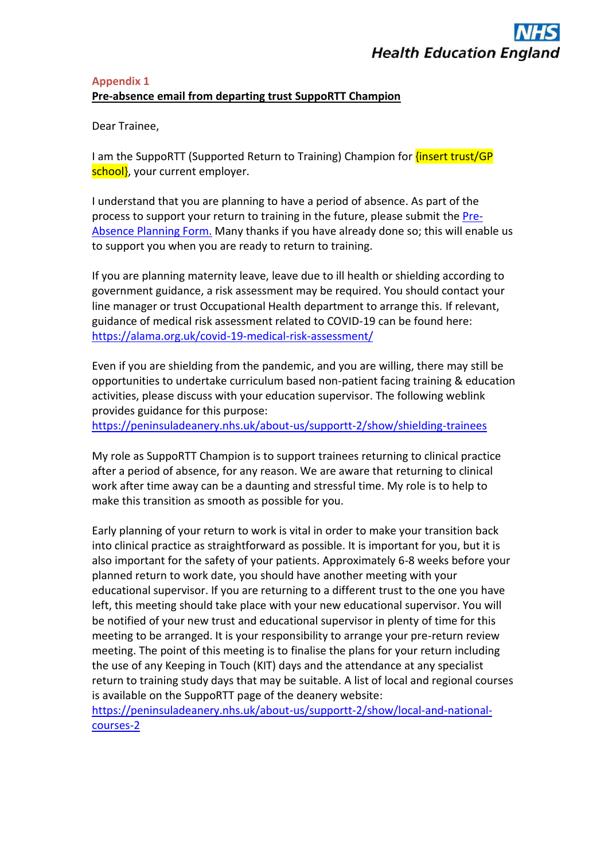#### **Appendix 1 Pre-absence email from departing trust SuppoRTT Champion**

Dear Trainee,

I am the SuppoRTT (Supported Return to Training) Champion for *{insert trust/GP* school, your current employer.

I understand that you are planning to have a period of absence. As part of the process to support your return to training in the future, please submit the [Pre-](https://healtheducationyh.onlinesurveys.ac.uk/sw-pre-absence-planning-form-161120)Absence [Planning Form.](https://healtheducationyh.onlinesurveys.ac.uk/sw-pre-absence-planning-form-161120) Many thanks if you have already done so; this will enable us to support you when you are ready to return to training.

If you are planning maternity leave, leave due to ill health or shielding according to government guidance, a risk assessment may be required. You should contact your line manager or trust Occupational Health department to arrange this. If relevant, guidance of medical risk assessment related to COVID-19 can be found here: <https://alama.org.uk/covid-19-medical-risk-assessment/>

Even if you are shielding from the pandemic, and you are willing, there may still be opportunities to undertake curriculum based non-patient facing training & education activities, please discuss with your education supervisor. The following weblink provides guidance for this purpose:

<https://peninsuladeanery.nhs.uk/about-us/supportt-2/show/shielding-trainees>

My role as SuppoRTT Champion is to support trainees returning to clinical practice after a period of absence, for any reason. We are aware that returning to clinical work after time away can be a daunting and stressful time. My role is to help to make this transition as smooth as possible for you.

Early planning of your return to work is vital in order to make your transition back into clinical practice as straightforward as possible. It is important for you, but it is also important for the safety of your patients. Approximately 6-8 weeks before your planned return to work date, you should have another meeting with your educational supervisor. If you are returning to a different trust to the one you have left, this meeting should take place with your new educational supervisor. You will be notified of your new trust and educational supervisor in plenty of time for this meeting to be arranged. It is your responsibility to arrange your pre-return review meeting. The point of this meeting is to finalise the plans for your return including the use of any Keeping in Touch (KIT) days and the attendance at any specialist return to training study days that may be suitable. A list of local and regional courses is available on the SuppoRTT page of the deanery website:

[https://peninsuladeanery.nhs.uk/about-us/supportt-2/show/local-and-national](https://peninsuladeanery.nhs.uk/about-us/supportt-2/show/local-and-national-courses-2)[courses-2](https://peninsuladeanery.nhs.uk/about-us/supportt-2/show/local-and-national-courses-2)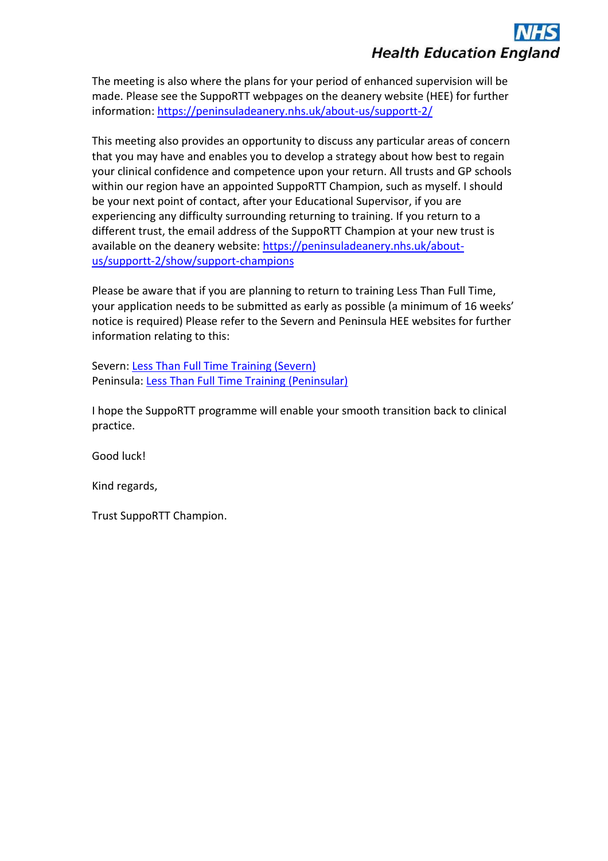The meeting is also where the plans for your period of enhanced supervision will be made. Please see the SuppoRTT webpages on the deanery website (HEE) for further information: <https://peninsuladeanery.nhs.uk/about-us/supportt-2/>

This meeting also provides an opportunity to discuss any particular areas of concern that you may have and enables you to develop a strategy about how best to regain your clinical confidence and competence upon your return. All trusts and GP schools within our region have an appointed SuppoRTT Champion, such as myself. I should be your next point of contact, after your Educational Supervisor, if you are experiencing any difficulty surrounding returning to training. If you return to a different trust, the email address of the SuppoRTT Champion at your new trust is available on the deanery website: [https://peninsuladeanery.nhs.uk/about](https://peninsuladeanery.nhs.uk/about-us/supportt-2/show/support-champions)[us/supportt-2/show/support-champions](https://peninsuladeanery.nhs.uk/about-us/supportt-2/show/support-champions)

Please be aware that if you are planning to return to training Less Than Full Time, your application needs to be submitted as early as possible (a minimum of 16 weeks' notice is required) Please refer to the Severn and Peninsula HEE websites for further information relating to this:

Severn: [Less Than Full Time Training \(Severn\)](https://severndeanery.nhs.uk/about-us/careers-support/less-than-full-time-working-policy/) Peninsula: [Less Than Full Time Training \(Peninsular\)](https://peninsuladeanery.nhs.uk/about-us/policies-and-guidelines/less-than-full-time-working-policy/)

I hope the SuppoRTT programme will enable your smooth transition back to clinical practice.

Good luck!

Kind regards,

Trust SuppoRTT Champion.